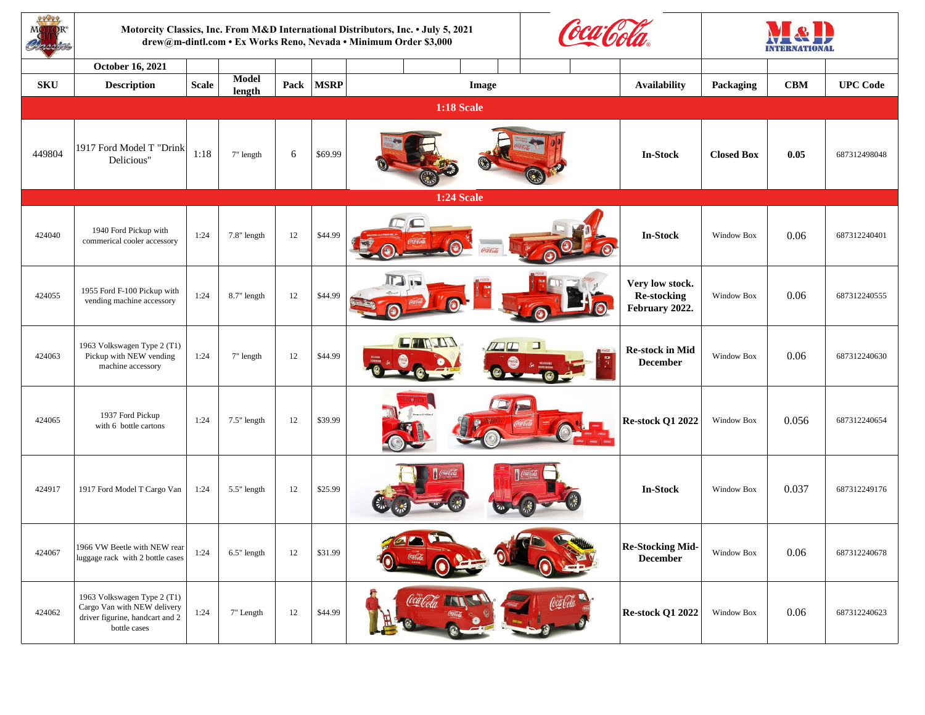| 29099      |                                                                                                               | Motorcity Classics, Inc. From M&D International Distributors, Inc. • July 5, 2021<br>drew@m-dintl.com • Ex Works Reno, Nevada • Minimum Order \$3,000 |                        |      |             |                      |                                                            |                   |            | Y & P<br><b>INTERNATIONAL</b> |  |
|------------|---------------------------------------------------------------------------------------------------------------|-------------------------------------------------------------------------------------------------------------------------------------------------------|------------------------|------|-------------|----------------------|------------------------------------------------------------|-------------------|------------|-------------------------------|--|
|            | <b>October 16, 2021</b>                                                                                       |                                                                                                                                                       |                        |      |             |                      |                                                            |                   |            |                               |  |
| <b>SKU</b> | <b>Description</b>                                                                                            | <b>Scale</b>                                                                                                                                          | <b>Model</b><br>length | Pack | <b>MSRP</b> | <b>Image</b>         | <b>Availability</b>                                        | <b>Packaging</b>  | <b>CBM</b> | <b>UPC Code</b>               |  |
|            |                                                                                                               |                                                                                                                                                       |                        |      |             | <b>1:18 Scale</b>    |                                                            |                   |            |                               |  |
| 449804     | 1917 Ford Model T "Drink<br>Delicious"                                                                        | 1:18                                                                                                                                                  | 7" length              | 6    | \$69.99     |                      | <b>In-Stock</b>                                            | <b>Closed Box</b> | 0.05       | 687312498048                  |  |
|            |                                                                                                               |                                                                                                                                                       |                        |      |             | <b>1:24 Scale</b>    |                                                            |                   |            |                               |  |
| 424040     | 1940 Ford Pickup with<br>commerical cooler accessory                                                          | 1:24                                                                                                                                                  | 7.8" length            | 12   | \$44.99     |                      | <b>Company's</b><br><b>In-Stock</b>                        | <b>Window Box</b> | 0.06       | 687312240401                  |  |
| 424055     | 1955 Ford F-100 Pickup with<br>vending machine accessory                                                      | 1:24                                                                                                                                                  | 8.7" length            | 12   | \$44.99     | <b>ITA IS</b>        | Very low stock.<br><b>Re-stocking</b><br>February 2022.    | <b>Window Box</b> | 0.06       | 687312240555                  |  |
| 424063     | 1963 Volkswagen Type 2 (T1)<br>Pickup with NEW vending<br>machine accessory                                   | 1:24                                                                                                                                                  | 7" length              | 12   | \$44.99     | CHRIA                | <b>Re-stock in Mid</b><br><b>Called</b><br><b>December</b> | Window Box        | 0.06       | 687312240630                  |  |
| 424065     | 1937 Ford Pickup<br>with 6 bottle cartons                                                                     | 1:24                                                                                                                                                  | $7.5$ " length         | 12   | \$39.99     | $\sim$ $\sim$ $\sim$ | <b>Re-stock Q1 2022</b><br><b>GRASS</b>                    | Window Box        | 0.056      | 687312240654                  |  |
| 424917     | 1917 Ford Model T Cargo Van                                                                                   | 1:24                                                                                                                                                  | 5.5" length            | 12   | \$25.99     | $\log$               | <b>In-Stock</b>                                            | <b>Window Box</b> | 0.037      | 687312249176                  |  |
| 424067     | 1966 VW Beetle with NEW rear<br>luggage rack with 2 bottle cases                                              | 1:24                                                                                                                                                  | 6.5" length            | 12   | \$31.99     |                      | <b>Re-Stocking Mid-</b><br><b>December</b>                 | Window Box        | 0.06       | 687312240678                  |  |
| 424062     | 1963 Volkswagen Type 2 (T1)<br>Cargo Van with NEW delivery<br>driver figurine, handcart and 2<br>bottle cases | 1:24                                                                                                                                                  | 7" Length              | 12   | \$44.99     | Cal Cola             | Coca Cela<br><b>Re-stock Q1 2022</b>                       | Window Box        | 0.06       | 687312240623                  |  |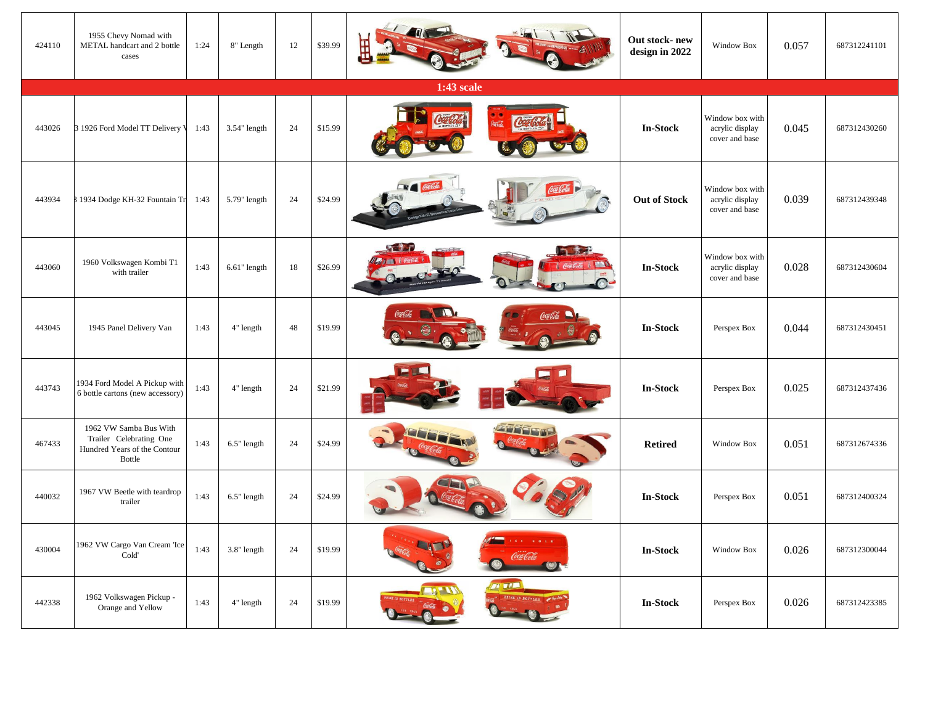| 424110 | 1955 Chevy Nomad with<br>METAL handcart and 2 bottle<br>cases                               | 1:24 | 8" Length       | 12 | \$39.99 |                                                                                                                                                                        | Out stock-new<br>design in 2022 | Window Box                                           | 0.057 | 687312241101 |
|--------|---------------------------------------------------------------------------------------------|------|-----------------|----|---------|------------------------------------------------------------------------------------------------------------------------------------------------------------------------|---------------------------------|------------------------------------------------------|-------|--------------|
|        |                                                                                             |      |                 |    |         | 1:43 scale                                                                                                                                                             |                                 |                                                      |       |              |
| 443026 | 3 1926 Ford Model TT Delivery V                                                             | 1:43 | $3.54$ " length | 24 | \$15.99 | Coco Cola<br>Corled                                                                                                                                                    | <b>In-Stock</b>                 | Window box with<br>acrylic display<br>cover and base | 0.045 | 687312430260 |
| 443934 | 1934 Dodge KH-32 Fountain Tr                                                                | 1:43 | 5.79" length    | 24 | \$24.99 | <b>EN Could</b><br>Coca Cola                                                                                                                                           | <b>Out of Stock</b>             | Window box with<br>acrylic display<br>cover and base | 0.039 | 687312439348 |
| 443060 | 1960 Volkswagen Kombi T1<br>with trailer                                                    | 1:43 | $6.61$ " length | 18 | \$26.99 | <b>ARLID</b>                                                                                                                                                           | <b>In-Stock</b>                 | Window box with<br>acrylic display<br>cover and base | 0.028 | 687312430604 |
| 443045 | 1945 Panel Delivery Van                                                                     | 1:43 | 4" length       | 48 | \$19.99 | Coalda                                                                                                                                                                 | <b>In-Stock</b>                 | Perspex Box                                          | 0.044 | 687312430451 |
| 443743 | 1934 Ford Model A Pickup with  <br>6 bottle cartons (new accessory)                         | 1:43 | 4" length       | 24 | \$21.99 |                                                                                                                                                                        | <b>In-Stock</b>                 | Perspex Box                                          | 0.025 | 687312437436 |
| 467433 | 1962 VW Samba Bus With<br>Trailer Celebrating One<br>Hundred Years of the Contour<br>Bottle | 1:43 | $6.5$ " length  | 24 | \$24.99 | <b>ZEFFECOE</b><br><b>JOURNAL</b>                                                                                                                                      | <b>Retired</b>                  | <b>Window Box</b>                                    | 0.051 | 687312674336 |
| 440032 | 1967 VW Beetle with teardrop<br>trailer                                                     | 1:43 | 6.5" length     | 24 | \$24.99 | <u>ANCE</u>                                                                                                                                                            | <b>In-Stock</b>                 | Perspex Box                                          | 0.051 | 687312400324 |
| 430004 | 1962 VW Cargo Van Cream Tce<br>Cold'                                                        | 1:43 | 3.8" length     | 24 | \$19.99 | $\begin{array}{cccccccccccccc} \mathcal{C} & \mathcal{C} & \mathcal{C} & \mathcal{O} & \mathcal{C} & \mathcal{O} & \mathcal{C} & \mathcal{O} \end{array}$<br>Coca Cola | <b>In-Stock</b>                 | Window Box                                           | 0.026 | 687312300044 |
| 442338 | 1962 Volkswagen Pickup -<br>Orange and Yellow                                               | 1:43 | 4" length       | 24 | \$19.99 | THE<br>DRINK IN BOTTLES<br>DRINK IN BOTTLES                                                                                                                            | <b>In-Stock</b>                 | Perspex Box                                          | 0.026 | 687312423385 |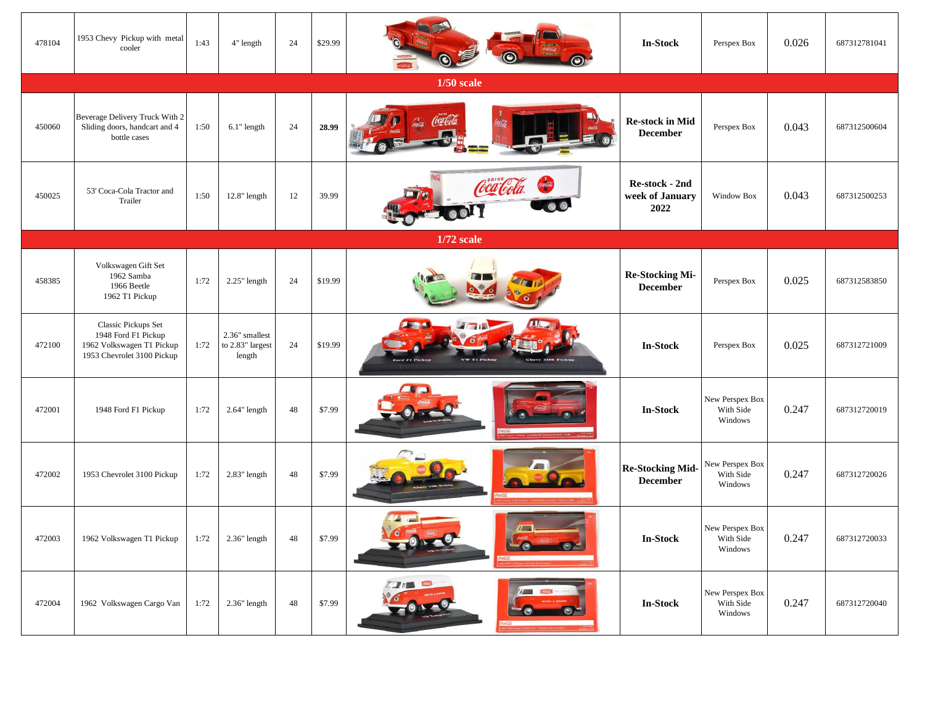| 478104 | 1953 Chevy Pickup with metal<br>cooler                                                                       | 1:43 | 4" length                                    | 24 | \$29.99 | <b>TRANSPORT</b><br>$\odot$                                                                               | <b>In-Stock</b>                                  | Perspex Box                             | 0.026 | 687312781041 |
|--------|--------------------------------------------------------------------------------------------------------------|------|----------------------------------------------|----|---------|-----------------------------------------------------------------------------------------------------------|--------------------------------------------------|-----------------------------------------|-------|--------------|
|        |                                                                                                              |      |                                              |    |         | $1/50$ scale                                                                                              |                                                  |                                         |       |              |
| 450060 | Beverage Delivery Truck With 2<br>Sliding doors, handcart and 4<br>bottle cases                              | 1:50 | 6.1" length                                  | 24 | 28.99   | Coca Cola.<br><b>COLLEGE</b><br><b>COLOR SECTION AND REAL PROPERTY</b>                                    | <b>Re-stock in Mid</b><br><b>December</b>        | Perspex Box                             | 0.043 | 687312500604 |
| 450025 | 53' Coca-Cola Tractor and<br>Trailer                                                                         | 1:50 | $12.8$ " length                              | 12 | 39.99   | ra Gda<br>ar n<br>Work Coll<br>$\bullet$                                                                  | <b>Re-stock - 2nd</b><br>week of January<br>2022 | <b>Window Box</b>                       | 0.043 | 687312500253 |
|        |                                                                                                              |      |                                              |    |         | 1/72 scale                                                                                                |                                                  |                                         |       |              |
| 458385 | Volkswagen Gift Set<br>1962 Samba<br>1966 Beetle<br>1962 T1 Pickup                                           | 1:72 | $2.25$ " length                              | 24 | \$19.99 |                                                                                                           | <b>Re-Stocking Mi-</b><br><b>December</b>        | Perspex Box                             | 0.025 | 687312583850 |
| 472100 | <b>Classic Pickups Set</b><br>1948 Ford F1 Pickup<br>1962 Volkswagen T1 Pickup<br>1953 Chevrolet 3100 Pickup | 1:72 | 2.36" smallest<br>to 2.83" largest<br>length | 24 | \$19.99 | Chevy 3100 Pickup<br><b>Ford F1 Pickup</b><br>VW T1 Pickup                                                | <b>In-Stock</b>                                  | Perspex Box                             | 0.025 | 687312721009 |
| 472001 | 1948 Ford F1 Pickup                                                                                          | 1:72 | $2.64$ " length                              | 48 | \$7.99  | $\mathbf{r}$ , where $\mathbf{r}$<br>(6)<br><b>CONT</b><br>1 F1 Pickup - Camion de Ilvanison Ford F1 1948 | <b>In-Stock</b>                                  | New Perspex Box<br>With Side<br>Windows | 0.247 | 687312720019 |
| 472002 | 1953 Chevrolet 3100 Pickup                                                                                   | 1:72 | $2.83$ " length                              | 48 | \$7.99  | Cherry 5100 Picks                                                                                         | <b>Re-Stocking Mid-</b><br><b>December</b>       | New Perspex Box<br>With Side<br>Windows | 0.247 | 687312720026 |
| 472003 | 1962 Volkswagen T1 Pickup                                                                                    | 1:72 | $2.36"$ length                               | 48 | \$7.99  |                                                                                                           | <b>In-Stock</b>                                  | New Perspex Box<br>With Side<br>Windows | 0.247 | 687312720033 |
| 472004 | 1962 Volkswagen Cargo Van                                                                                    | 1:72 | $2.36"$ length                               | 48 | \$7.99  | <b>ALL AND READY</b><br><b>COMPANY COMPANY</b>                                                            | <b>In-Stock</b>                                  | New Perspex Box<br>With Side<br>Windows | 0.247 | 687312720040 |